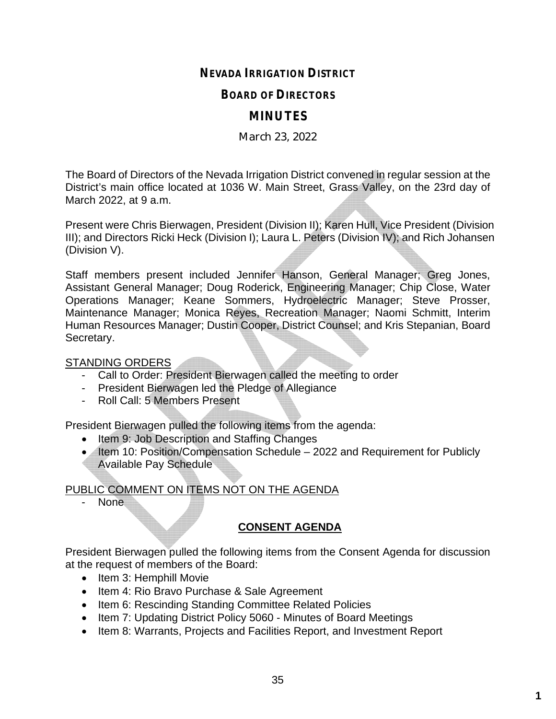## **NEVADA IRRIGATION DISTRICT**

### **BOARD OF DIRECTORS**

## **MINUTES**

### March 23, 2022

The Board of Directors of the Nevada Irrigation District convened in regular session at the District's main office located at 1036 W. Main Street, Grass Valley, on the 23rd day of March 2022, at 9 a.m.

Present were Chris Bierwagen, President (Division II); Karen Hull, Vice President (Division III); and Directors Ricki Heck (Division I); Laura L. Peters (Division IV); and Rich Johansen (Division V).

Staff members present included Jennifer Hanson, General Manager; Greg Jones, Assistant General Manager; Doug Roderick, Engineering Manager; Chip Close, Water Operations Manager; Keane Sommers, Hydroelectric Manager; Steve Prosser, Maintenance Manager; Monica Reyes, Recreation Manager; Naomi Schmitt, Interim Human Resources Manager; Dustin Cooper, District Counsel; and Kris Stepanian, Board Secretary.

### STANDING ORDERS

- Call to Order: President Bierwagen called the meeting to order
- President Bierwagen led the Pledge of Allegiance
- Roll Call: 5 Members Present

President Bierwagen pulled the following items from the agenda:

- Item 9: Job Description and Staffing Changes
- Item 10: Position/Compensation Schedule 2022 and Requirement for Publicly Available Pay Schedule

# PUBLIC COMMENT ON ITEMS NOT ON THE AGENDA

- None

# **CONSENT AGENDA**

President Bierwagen pulled the following items from the Consent Agenda for discussion at the request of members of the Board:

- Item 3: Hemphill Movie
- Item 4: Rio Bravo Purchase & Sale Agreement
- Item 6: Rescinding Standing Committee Related Policies
- Item 7: Updating District Policy 5060 Minutes of Board Meetings
- Item 8: Warrants, Projects and Facilities Report, and Investment Report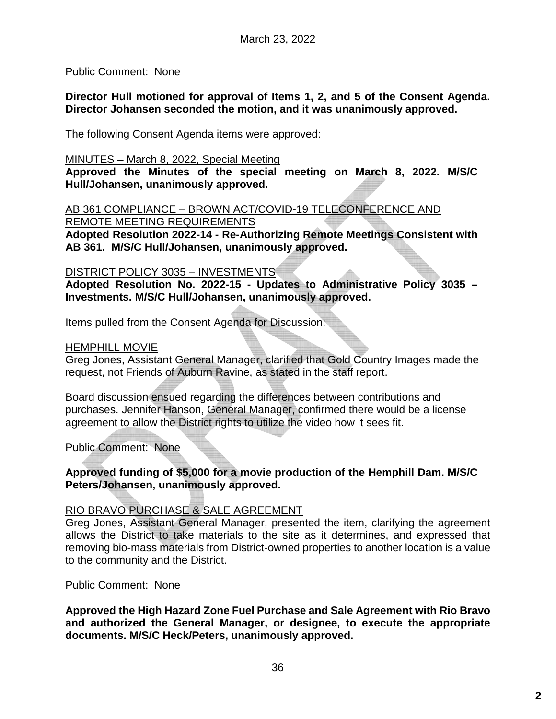Public Comment: None

**Director Hull motioned for approval of Items 1, 2, and 5 of the Consent Agenda. Director Johansen seconded the motion, and it was unanimously approved.**

The following Consent Agenda items were approved:

#### MINUTES – March 8, 2022, Special Meeting

**Approved the Minutes of the special meeting on March 8, 2022. M/S/C Hull/Johansen, unanimously approved.**

AB 361 COMPLIANCE – BROWN ACT/COVID-19 TELECONFERENCE AND REMOTE MEETING REQUIREMENTS

**Adopted Resolution 2022-14 - Re-Authorizing Remote Meetings Consistent with AB 361. M/S/C Hull/Johansen, unanimously approved.**

#### DISTRICT POLICY 3035 – INVESTMENTS

**Adopted Resolution No. 2022-15 - Updates to Administrative Policy 3035 – Investments. M/S/C Hull/Johansen, unanimously approved.**

Items pulled from the Consent Agenda for Discussion:

#### HEMPHILL MOVIE

Greg Jones, Assistant General Manager, clarified that Gold Country Images made the request, not Friends of Auburn Ravine, as stated in the staff report.

Board discussion ensued regarding the differences between contributions and purchases. Jennifer Hanson, General Manager, confirmed there would be a license agreement to allow the District rights to utilize the video how it sees fit.

Public Comment: None

### **Approved funding of \$5,000 for a movie production of the Hemphill Dam. M/S/C Peters/Johansen, unanimously approved.**

### RIO BRAVO PURCHASE & SALE AGREEMENT

Greg Jones, Assistant General Manager, presented the item, clarifying the agreement allows the District to take materials to the site as it determines, and expressed that removing bio-mass materials from District-owned properties to another location is a value to the community and the District.

#### Public Comment: None

**Approved the High Hazard Zone Fuel Purchase and Sale Agreement with Rio Bravo and authorized the General Manager, or designee, to execute the appropriate documents. M/S/C Heck/Peters, unanimously approved.**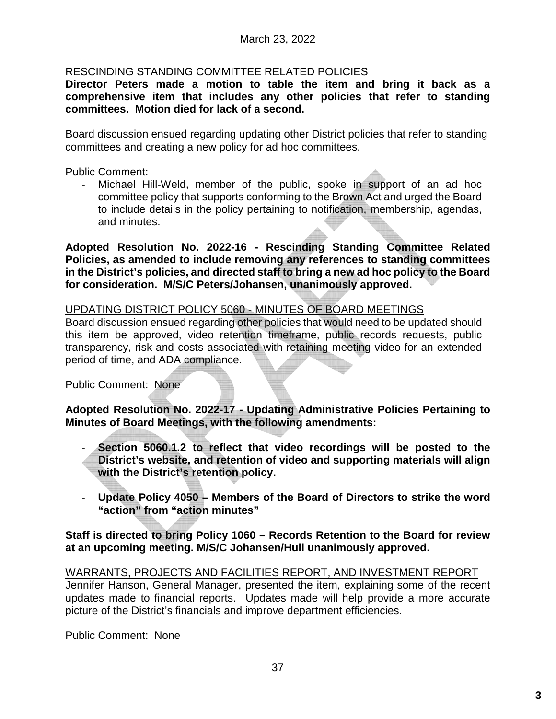## RESCINDING STANDING COMMITTEE RELATED POLICIES

**Director Peters made a motion to table the item and bring it back as a comprehensive item that includes any other policies that refer to standing committees. Motion died for lack of a second.**

Board discussion ensued regarding updating other District policies that refer to standing committees and creating a new policy for ad hoc committees.

Public Comment:

- Michael Hill-Weld, member of the public, spoke in support of an ad hoc committee policy that supports conforming to the Brown Act and urged the Board to include details in the policy pertaining to notification, membership, agendas, and minutes.

**Adopted Resolution No. 2022-16 - Rescinding Standing Committee Related Policies, as amended to include removing any references to standing committees in the District's policies, and directed staff to bring a new ad hoc policy to the Board for consideration. M/S/C Peters/Johansen, unanimously approved.**

## UPDATING DISTRICT POLICY 5060 - MINUTES OF BOARD MEETINGS

Board discussion ensued regarding other policies that would need to be updated should this item be approved, video retention timeframe, public records requests, public transparency, risk and costs associated with retaining meeting video for an extended period of time, and ADA compliance.

Public Comment: None

**Adopted Resolution No. 2022-17 - Updating Administrative Policies Pertaining to Minutes of Board Meetings, with the following amendments:**

- **Section 5060.1.2 to reflect that video recordings will be posted to the District's website, and retention of video and supporting materials will align with the District's retention policy.**
- **Update Policy 4050 Members of the Board of Directors to strike the word "action" from "action minutes"**

### **Staff is directed to bring Policy 1060 – Records Retention to the Board for review at an upcoming meeting. M/S/C Johansen/Hull unanimously approved.**

WARRANTS, PROJECTS AND FACILITIES REPORT, AND INVESTMENT REPORT Jennifer Hanson, General Manager, presented the item, explaining some of the recent updates made to financial reports. Updates made will help provide a more accurate picture of the District's financials and improve department efficiencies.

Public Comment: None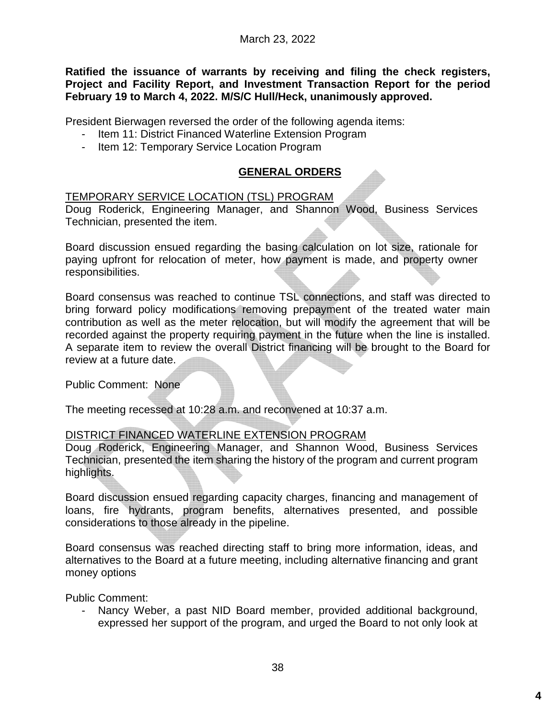**Ratified the issuance of warrants by receiving and filing the check registers, Project and Facility Report, and Investment Transaction Report for the period February 19 to March 4, 2022. M/S/C Hull/Heck, unanimously approved.**

President Bierwagen reversed the order of the following agenda items:

- Item 11: District Financed Waterline Extension Program
- Item 12: Temporary Service Location Program

## **GENERAL ORDERS**

### TEMPORARY SERVICE LOCATION (TSL) PROGRAM

Doug Roderick, Engineering Manager, and Shannon Wood, Business Services Technician, presented the item.

Board discussion ensued regarding the basing calculation on lot size, rationale for paying upfront for relocation of meter, how payment is made, and property owner responsibilities.

Board consensus was reached to continue TSL connections, and staff was directed to bring forward policy modifications removing prepayment of the treated water main contribution as well as the meter relocation, but will modify the agreement that will be recorded against the property requiring payment in the future when the line is installed. A separate item to review the overall District financing will be brought to the Board for review at a future date.

Public Comment: None

The meeting recessed at 10:28 a.m. and reconvened at 10:37 a.m.

## DISTRICT FINANCED WATERLINE EXTENSION PROGRAM

Doug Roderick, Engineering Manager, and Shannon Wood, Business Services Technician, presented the item sharing the history of the program and current program highlights.

Board discussion ensued regarding capacity charges, financing and management of loans, fire hydrants, program benefits, alternatives presented, and possible considerations to those already in the pipeline.

Board consensus was reached directing staff to bring more information, ideas, and alternatives to the Board at a future meeting, including alternative financing and grant money options

Public Comment:

Nancy Weber, a past NID Board member, provided additional background, expressed her support of the program, and urged the Board to not only look at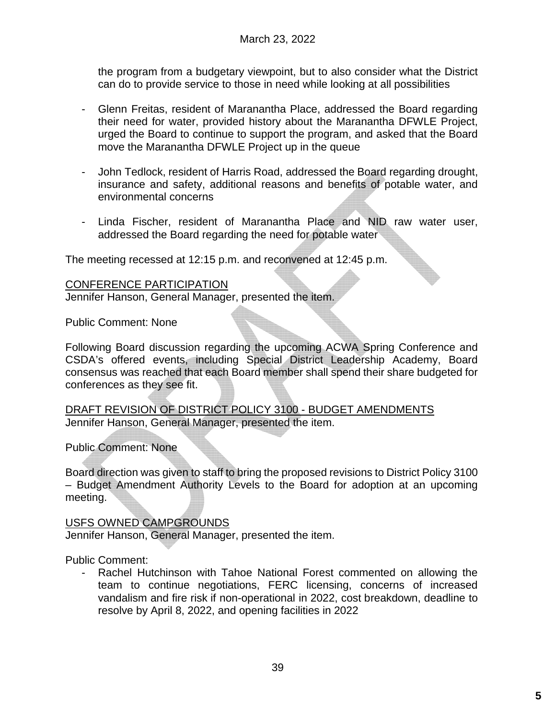the program from a budgetary viewpoint, but to also consider what the District can do to provide service to those in need while looking at all possibilities

- Glenn Freitas, resident of Maranantha Place, addressed the Board regarding their need for water, provided history about the Maranantha DFWLE Project, urged the Board to continue to support the program, and asked that the Board move the Maranantha DFWLE Project up in the queue
- John Tedlock, resident of Harris Road, addressed the Board regarding drought, insurance and safety, additional reasons and benefits of potable water, and environmental concerns
- Linda Fischer, resident of Maranantha Place and NID raw water user, addressed the Board regarding the need for potable water

The meeting recessed at 12:15 p.m. and reconvened at 12:45 p.m.

### CONFERENCE PARTICIPATION

Jennifer Hanson, General Manager, presented the item.

Public Comment: None

Following Board discussion regarding the upcoming ACWA Spring Conference and CSDA's offered events, including Special District Leadership Academy, Board consensus was reached that each Board member shall spend their share budgeted for conferences as they see fit.

DRAFT REVISION OF DISTRICT POLICY 3100 - BUDGET AMENDMENTS Jennifer Hanson, General Manager, presented the item.

Public Comment: None

Board direction was given to staff to bring the proposed revisions to District Policy 3100 – Budget Amendment Authority Levels to the Board for adoption at an upcoming meeting.

## USFS OWNED CAMPGROUNDS

Jennifer Hanson, General Manager, presented the item.

Public Comment:

Rachel Hutchinson with Tahoe National Forest commented on allowing the team to continue negotiations, FERC licensing, concerns of increased vandalism and fire risk if non-operational in 2022, cost breakdown, deadline to resolve by April 8, 2022, and opening facilities in 2022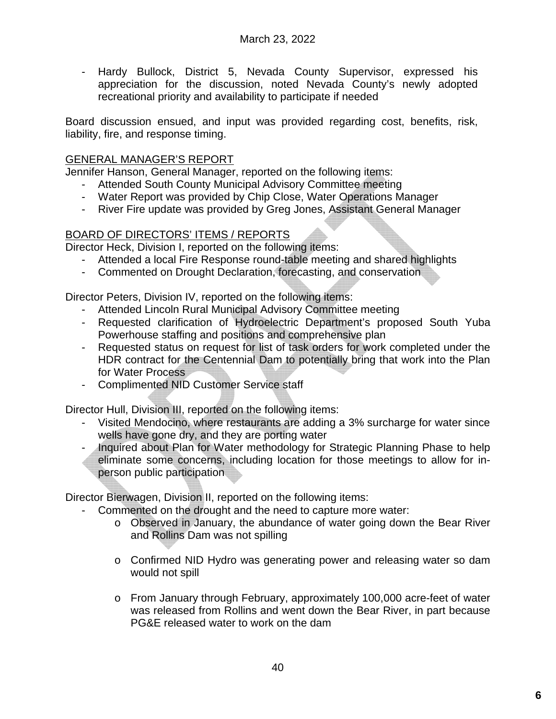- Hardy Bullock, District 5, Nevada County Supervisor, expressed his appreciation for the discussion, noted Nevada County's newly adopted recreational priority and availability to participate if needed

Board discussion ensued, and input was provided regarding cost, benefits, risk, liability, fire, and response timing.

## GENERAL MANAGER'S REPORT

Jennifer Hanson, General Manager, reported on the following items:

- Attended South County Municipal Advisory Committee meeting
- Water Report was provided by Chip Close, Water Operations Manager
- River Fire update was provided by Greg Jones, Assistant General Manager

## BOARD OF DIRECTORS' ITEMS / REPORTS

Director Heck, Division I, reported on the following items:

- Attended a local Fire Response round-table meeting and shared highlights
- Commented on Drought Declaration, forecasting, and conservation

Director Peters, Division IV, reported on the following items:

- Attended Lincoln Rural Municipal Advisory Committee meeting
- Requested clarification of Hydroelectric Department's proposed South Yuba Powerhouse staffing and positions and comprehensive plan
- Requested status on request for list of task orders for work completed under the HDR contract for the Centennial Dam to potentially bring that work into the Plan for Water Process
- Complimented NID Customer Service staff

Director Hull, Division III, reported on the following items:

- Visited Mendocino, where restaurants are adding a 3% surcharge for water since wells have gone dry, and they are porting water
- Inquired about Plan for Water methodology for Strategic Planning Phase to help
- eliminate some concerns, including location for those meetings to allow for inperson public participation

Director Bierwagen, Division II, reported on the following items:

- Commented on the drought and the need to capture more water:
	- o Observed in January, the abundance of water going down the Bear River and Rollins Dam was not spilling
	- o Confirmed NID Hydro was generating power and releasing water so dam would not spill
	- o From January through February, approximately 100,000 acre-feet of water was released from Rollins and went down the Bear River, in part because PG&E released water to work on the dam